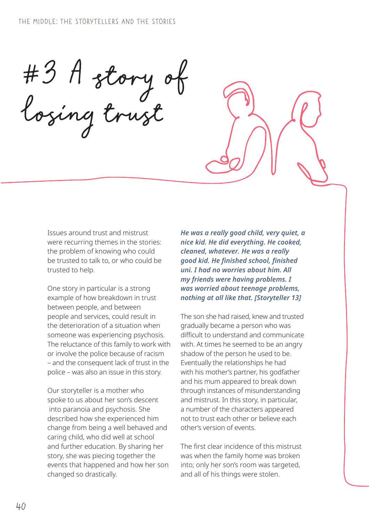#3 A story of losing trust

Issues around trust and mistrust were recurring themes in the stories: the problem of knowing who could be trusted to talk to, or who could be trusted to help.

One story in particular is a strong example of how breakdown in trust between people, and between people and services, could result in the deterioration of a situation when someone was experiencing psychosis. The reluctance of this family to work with or involve the police because of racism – and the consequent lack of trust in the police – was also an issue in this story.

Our storyteller is a mother who spoke to us about her son's descent into paranoia and psychosis. She described how she experienced him change from being a well behaved and caring child, who did well at school and further education. By sharing her story, she was piecing together the events that happened and how her son changed so drastically.

*He was a really good child, very quiet, a nice kid. He did everything. He cooked, cleaned, whatever. He was a really good kid. He finished school, finished uni. I had no worries about him. All my friends were having problems. I was worried about teenage problems, nothing at all like that. [Storyteller 13]*

The son she had raised, knew and trusted gradually became a person who was difficult to understand and communicate with. At times he seemed to be an angry shadow of the person he used to be. Eventually the relationships he had with his mother's partner, his godfather and his mum appeared to break down through instances of misunderstanding and mistrust. In this story, in particular, a number of the characters appeared not to trust each other or believe each other's version of events.

The first clear incidence of this mistrust was when the family home was broken into; only her son's room was targeted, and all of his things were stolen.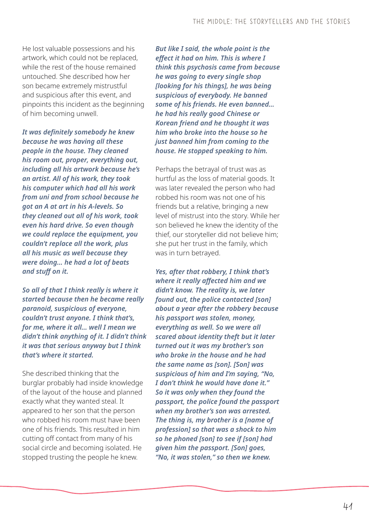He lost valuable possessions and his artwork, which could not be replaced, while the rest of the house remained untouched. She described how her son became extremely mistrustful and suspicious after this event, and pinpoints this incident as the beginning of him becoming unwell.

*It was definitely somebody he knew because he was having all these people in the house. They cleaned his room out, proper, everything out, including all his artwork because he's an artist. All of his work, they took his computer which had all his work from uni and from school because he got an A at art in his A-levels. So they cleaned out all of his work, took even his hard drive. So even though we could replace the equipment, you couldn't replace all the work, plus all his music as well because they were doing… he had a lot of beats and stuff on it.* 

*So all of that I think really is where it started because then he became really paranoid, suspicious of everyone, couldn't trust anyone. I think that's, for me, where it all… well I mean we didn't think anything of it. I didn't think it was that serious anyway but I think that's where it started.*

She described thinking that the burglar probably had inside knowledge of the layout of the house and planned exactly what they wanted steal. It appeared to her son that the person who robbed his room must have been one of his friends. This resulted in him cutting off contact from many of his social circle and becoming isolated. He stopped trusting the people he knew.

*But like I said, the whole point is the effect it had on him. This is where I think this psychosis came from because he was going to every single shop [looking for his things], he was being suspicious of everybody. He banned some of his friends. He even banned… he had his really good Chinese or Korean friend and he thought it was him who broke into the house so he just banned him from coming to the house. He stopped speaking to him.* 

Perhaps the betrayal of trust was as hurtful as the loss of material goods. It was later revealed the person who had robbed his room was not one of his friends but a relative, bringing a new level of mistrust into the story. While her son believed he knew the identity of the thief, our storyteller did not believe him; she put her trust in the family, which was in turn betrayed.

*Yes, after that robbery, I think that's where it really affected him and we didn't know. The reality is, we later found out, the police contacted [son] about a year after the robbery because his passport was stolen, money, everything as well. So we were all scared about identity theft but it later turned out it was my brother's son who broke in the house and he had the same name as [son]. [Son] was suspicious of him and I'm saying, "No, I don't think he would have done it." So it was only when they found the passport, the police found the passport when my brother's son was arrested. The thing is, my brother is a [name of profession] so that was a shock to him so he phoned [son] to see if [son] had given him the passport. [Son] goes, "No, it was stolen," so then we knew.*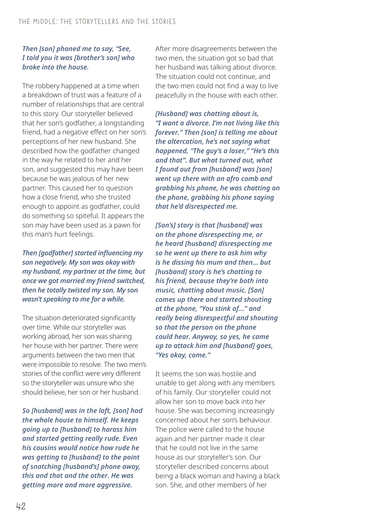## *Then [son] phoned me to say, "See, I told you it was [brother's son] who broke into the house.*

The robbery happened at a time when a breakdown of trust was a feature of a number of relationships that are central to this story. Our storyteller believed that her son's godfather, a longstanding friend, had a negative effect on her son's perceptions of her new husband. She described how the godfather changed in the way he related to her and her son, and suggested this may have been because he was jealous of her new partner. This caused her to question how a close friend, who she trusted enough to appoint as godfather, could do something so spiteful. It appears the son may have been used as a pawn for this man's hurt feelings.

*Then [godfather] started influencing my son negatively. My son was okay with my husband, my partner at the time, but once we got married my friend switched, then he totally twisted my son. My son wasn't speaking to me for a while.*

The situation deteriorated significantly over time. While our storyteller was working abroad, her son was sharing her house with her partner. There were arguments between the two men that were impossible to resolve. The two men's stories of the conflict were very different so the storyteller was unsure who she should believe, her son or her husband.

*So [husband] was in the loft, [son] had the whole house to himself. He keeps going up to [husband] to harass him and started getting really rude. Even his cousins would notice how rude he was getting to [husband] to the point of snatching [husband's] phone away, this and that and the other. He was getting more and more aggressive.* 

After more disagreements between the two men, the situation got so bad that her husband was talking about divorce. The situation could not continue, and the two men could not find a way to live peacefully in the house with each other.

*[Husband] was chatting about is, "I want a divorce. I'm not living like this forever." Then [son] is telling me about the altercation, he's not saying what happened, "The guy's a loser," "He's this and that". But what turned out, what I found out from [husband] was [son] went up there with an afro comb and grabbing his phone, he was chatting on the phone, grabbing his phone saying that he'd disrespected me.* 

*[Son's] story is that [husband] was on the phone disrespecting me, or he heard [husband] disrespecting me so he went up there to ask him why is he dissing his mum and then… but [husband] story is he's chatting to his friend, because they're both into music, chatting about music. [Son] comes up there and started shouting at the phone, "You stink of…" and really being disrespectful and shouting so that the person on the phone could hear. Anyway, so yes, he came up to attack him and [husband] goes, "Yes okay, come."* 

It seems the son was hostile and unable to get along with any members of his family. Our storyteller could not allow her son to move back into her house. She was becoming increasingly concerned about her son's behaviour. The police were called to the house again and her partner made it clear that he could not live in the same house as our storyteller's son. Our storyteller described concerns about being a black woman and having a black son. She, and other members of her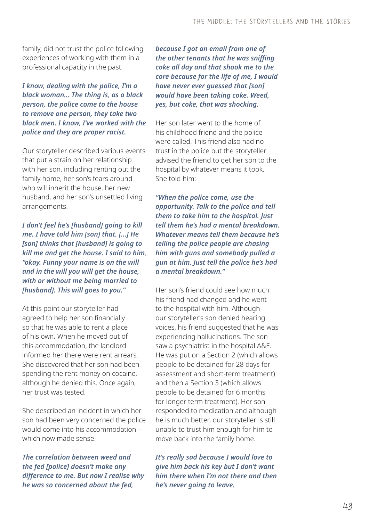family, did not trust the police following experiences of working with them in a professional capacity in the past:

*I know, dealing with the police, I'm a black woman… The thing is, as a black person, the police come to the house to remove one person, they take two black men. I know, I've worked with the police and they are proper racist.*

Our storyteller described various events that put a strain on her relationship with her son, including renting out the family home, her son's fears around who will inherit the house, her new husband, and her son's unsettled living arrangements.

*I don't feel he's [husband] going to kill me. I have told him [son] that. […] He [son] thinks that [husband] is going to kill me and get the house. I said to him, "okay. Funny your name is on the will and in the will you will get the house, with or without me being married to [husband]. This will goes to you."* 

At this point our storyteller had agreed to help her son financially so that he was able to rent a place of his own. When he moved out of this accommodation, the landlord informed her there were rent arrears. She discovered that her son had been spending the rent money on cocaine, although he denied this. Once again, her trust was tested.

She described an incident in which her son had been very concerned the police would come into his accommodation – which now made sense.

*The correlation between weed and the fed [police] doesn't make any difference to me. But now I realise why he was so concerned about the fed,* 

*because I got an email from one of the other tenants that he was sniffing coke all day and that shook me to the core because for the life of me, I would have never ever guessed that [son] would have been taking coke. Weed, yes, but coke, that was shocking.*

Her son later went to the home of his childhood friend and the police were called. This friend also had no trust in the police but the storyteller advised the friend to get her son to the hospital by whatever means it took. She told him:

*"When the police come, use the opportunity. Talk to the police and tell them to take him to the hospital. Just tell them he's had a mental breakdown. Whatever means tell them because he's telling the police people are chasing him with guns and somebody pulled a gun at him. Just tell the police he's had a mental breakdown."* 

Her son's friend could see how much his friend had changed and he went to the hospital with him. Although our storyteller's son denied hearing voices, his friend suggested that he was experiencing hallucinations. The son saw a psychiatrist in the hospital A&E. He was put on a Section 2 (which allows people to be detained for 28 days for assessment and short-term treatment) and then a Section 3 (which allows people to be detained for 6 months for longer term treatment). Her son responded to medication and although he is much better, our storyteller is still unable to trust him enough for him to move back into the family home.

*It's really sad because I would love to give him back his key but I don't want him there when I'm not there and then he's never going to leave.*